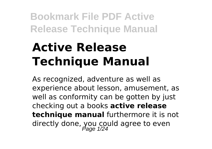# **Active Release Technique Manual**

As recognized, adventure as well as experience about lesson, amusement, as well as conformity can be gotten by just checking out a books **active release technique manual** furthermore it is not directly done, you could agree to even<br>
<sub>Page</sub> 1/24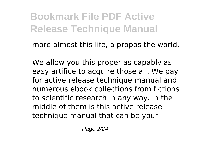more almost this life, a propos the world.

We allow you this proper as capably as easy artifice to acquire those all. We pay for active release technique manual and numerous ebook collections from fictions to scientific research in any way. in the middle of them is this active release technique manual that can be your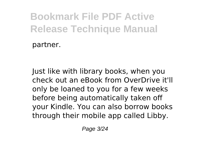partner.

Just like with library books, when you check out an eBook from OverDrive it'll only be loaned to you for a few weeks before being automatically taken off your Kindle. You can also borrow books through their mobile app called Libby.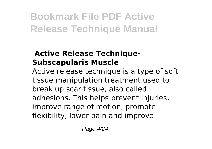#### **Active Release Technique-Subscapularis Muscle**

Active release technique is a type of soft tissue manipulation treatment used to break up scar tissue, also called adhesions. This helps prevent injuries, improve range of motion, promote flexibility, lower pain and improve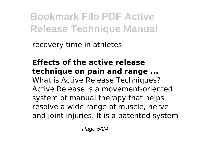recovery time in athletes.

**Effects of the active release technique on pain and range ...** What is Active Release Techniques? Active Release is a movement-oriented system of manual therapy that helps resolve a wide range of muscle, nerve and joint injuries. It is a patented system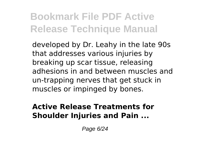developed by Dr. Leahy in the late 90s that addresses various injuries by breaking up scar tissue, releasing adhesions in and between muscles and un-trapping nerves that get stuck in muscles or impinged by bones.

#### **Active Release Treatments for Shoulder Injuries and Pain ...**

Page 6/24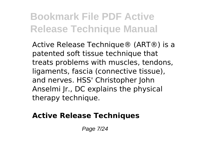Active Release Technique® (ART®) is a patented soft tissue technique that treats problems with muscles, tendons, ligaments, fascia (connective tissue), and nerves. HSS' Christopher John Anselmi Jr., DC explains the physical therapy technique.

#### **Active Release Techniques**

Page 7/24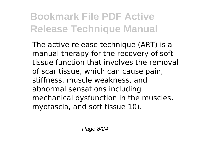The active release technique (ART) is a manual therapy for the recovery of soft tissue function that involves the removal of scar tissue, which can cause pain, stiffness, muscle weakness, and abnormal sensations including mechanical dysfunction in the muscles, myofascia, and soft tissue 10).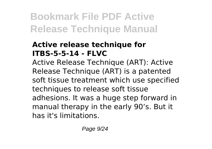#### **Active release technique for ITBS-5-5-14 - FLVC**

Active Release Technique (ART): Active Release Technique (ART) is a patented soft tissue treatment which use specified techniques to release soft tissue adhesions. It was a huge step forward in manual therapy in the early 90's. But it has it's limitations.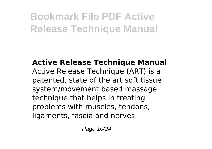**Active Release Technique Manual** Active Release Technique (ART) is a patented, state of the art soft tissue system/movement based massage technique that helps in treating problems with muscles, tendons, ligaments, fascia and nerves.

Page 10/24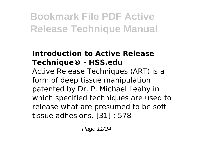#### **Introduction to Active Release Technique® - HSS.edu**

Active Release Techniques (ART) is a form of deep tissue manipulation patented by Dr. P. Michael Leahy in which specified techniques are used to release what are presumed to be soft tissue adhesions. [31] : 578

Page 11/24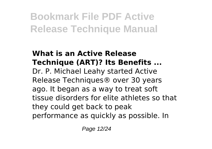#### **What is an Active Release Technique (ART)? Its Benefits ...** Dr. P. Michael Leahy started Active Release Techniques® over 30 years ago. It began as a way to treat soft tissue disorders for elite athletes so that they could get back to peak performance as quickly as possible. In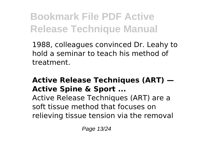1988, colleagues convinced Dr. Leahy to hold a seminar to teach his method of treatment.

#### **Active Release Techniques (ART) — Active Spine & Sport ...**

Active Release Techniques (ART) are a soft tissue method that focuses on relieving tissue tension via the removal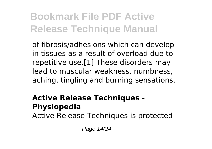of fibrosis/adhesions which can develop in tissues as a result of overload due to repetitive use.[1] These disorders may lead to muscular weakness, numbness, aching, tingling and burning sensations.

#### **Active Release Techniques - Physiopedia**

Active Release Techniques is protected

Page 14/24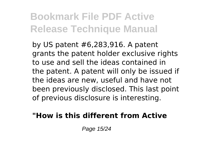by US patent #6,283,916. A patent grants the patent holder exclusive rights to use and sell the ideas contained in the patent. A patent will only be issued if the ideas are new, useful and have not been previously disclosed. This last point of previous disclosure is interesting.

#### **"How is this different from Active**

Page 15/24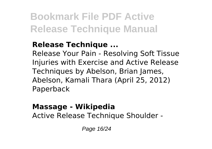#### **Release Technique ...**

Release Your Pain - Resolving Soft Tissue Injuries with Exercise and Active Release Techniques by Abelson, Brian James, Abelson, Kamali Thara (April 25, 2012) Paperback

### **Massage - Wikipedia**

Active Release Technique Shoulder -

Page 16/24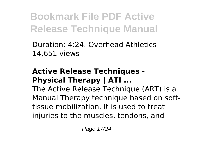Duration: 4:24. Overhead Athletics 14,651 views

#### **Active Release Techniques - Physical Therapy | ATI ...**

The Active Release Technique (ART) is a Manual Therapy technique based on softtissue mobilization. It is used to treat injuries to the muscles, tendons, and

Page 17/24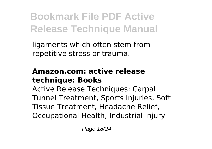ligaments which often stem from repetitive stress or trauma.

#### **Amazon.com: active release technique: Books**

Active Release Techniques: Carpal Tunnel Treatment, Sports Injuries, Soft Tissue Treatment, Headache Relief, Occupational Health, Industrial Injury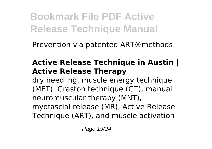Prevention via patented ART®methods

#### **Active Release Technique in Austin | Active Release Therapy**

dry needling, muscle energy technique (MET), Graston technique (GT), manual neuromuscular therapy (MNT), myofascial release (MR), Active Release Technique (ART), and muscle activation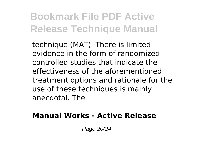technique (MAT). There is limited evidence in the form of randomized controlled studies that indicate the effectiveness of the aforementioned treatment options and rationale for the use of these techniques is mainly anecdotal. The

#### **Manual Works - Active Release**

Page 20/24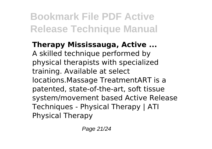**Therapy Mississauga, Active ...** A skilled technique performed by physical therapists with specialized training. Available at select locations.Massage TreatmentART is a patented, state-of-the-art, soft tissue system/movement based Active Release Techniques - Physical Therapy | ATI Physical Therapy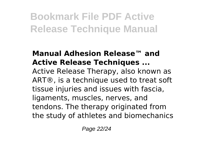#### **Manual Adhesion Release™ and Active Release Techniques ...**

Active Release Therapy, also known as ART®, is a technique used to treat soft tissue injuries and issues with fascia, ligaments, muscles, nerves, and tendons. The therapy originated from the study of athletes and biomechanics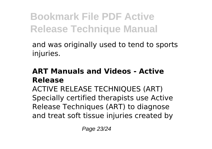and was originally used to tend to sports injuries.

#### **ART Manuals and Videos - Active Release**

ACTIVE RELEASE TECHNIQUES (ART) Specially certified therapists use Active Release Techniques (ART) to diagnose and treat soft tissue injuries created by

Page 23/24